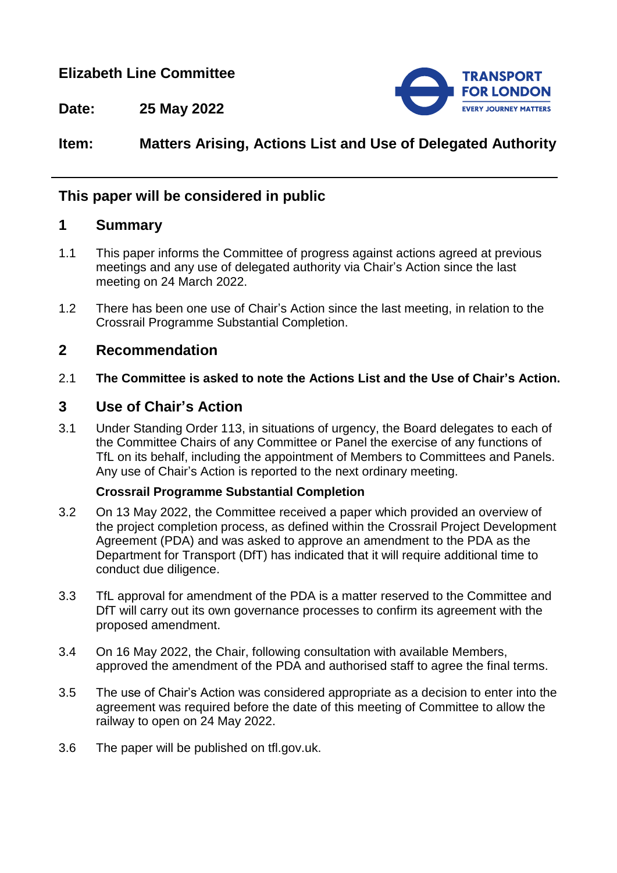# **Elizabeth Line Committee**



**Date: 25 May 2022**

# **Item: Matters Arising, Actions List and Use of Delegated Authority**

### **This paper will be considered in public**

#### **1 Summary**

- 1.1 This paper informs the Committee of progress against actions agreed at previous meetings and any use of delegated authority via Chair's Action since the last meeting on 24 March 2022.
- 1.2 There has been one use of Chair's Action since the last meeting, in relation to the Crossrail Programme Substantial Completion.

### **2 Recommendation**

2.1 **The Committee is asked to note the Actions List and the Use of Chair's Action.**

### **3 Use of Chair's Action**

3.1 Under Standing Order 113, in situations of urgency, the Board delegates to each of the Committee Chairs of any Committee or Panel the exercise of any functions of TfL on its behalf, including the appointment of Members to Committees and Panels. Any use of Chair's Action is reported to the next ordinary meeting.

#### **Crossrail Programme Substantial Completion**

- 3.2 On 13 May 2022, the Committee received a paper which provided an overview of the project completion process, as defined within the Crossrail Project Development Agreement (PDA) and was asked to approve an amendment to the PDA as the Department for Transport (DfT) has indicated that it will require additional time to conduct due diligence.
- 3.3 TfL approval for amendment of the PDA is a matter reserved to the Committee and DfT will carry out its own governance processes to confirm its agreement with the proposed amendment.
- 3.4 On 16 May 2022, the Chair, following consultation with available Members, approved the amendment of the PDA and authorised staff to agree the final terms.
- 3.5 The use of Chair's Action was considered appropriate as a decision to enter into the agreement was required before the date of this meeting of Committee to allow the railway to open on 24 May 2022.
- 3.6 The paper will be published on tfl.gov.uk.